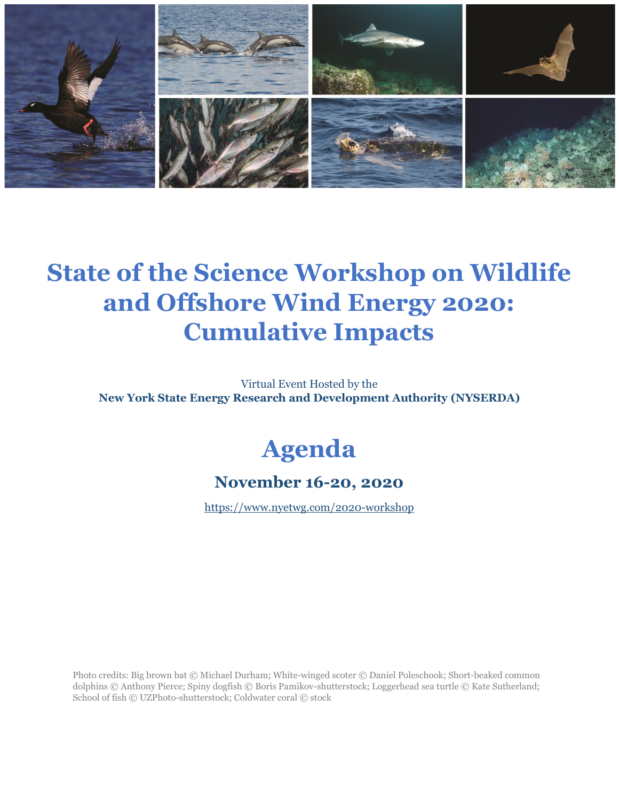

# **State of the Science Workshop on Wildlife and Offshore Wind Energy 2020: Cumulative Impacts**

Virtual Event Hosted by the **New York State Energy Research and Development Authority (NYSERDA)**

# **Agenda**

#### **November 16-20, 2020**

<https://www.nyetwg.com/2020-workshop>

Photo credits: Big brown bat © Michael Durham; White-winged scoter © Daniel Poleschook; Short-beaked common dolphins © Anthony Pierce; Spiny dogfish © Boris Pamikov-shutterstock; Loggerhead sea turtle © Kate Sutherland; School of fish © UZPhoto-shutterstock; Coldwater coral © stock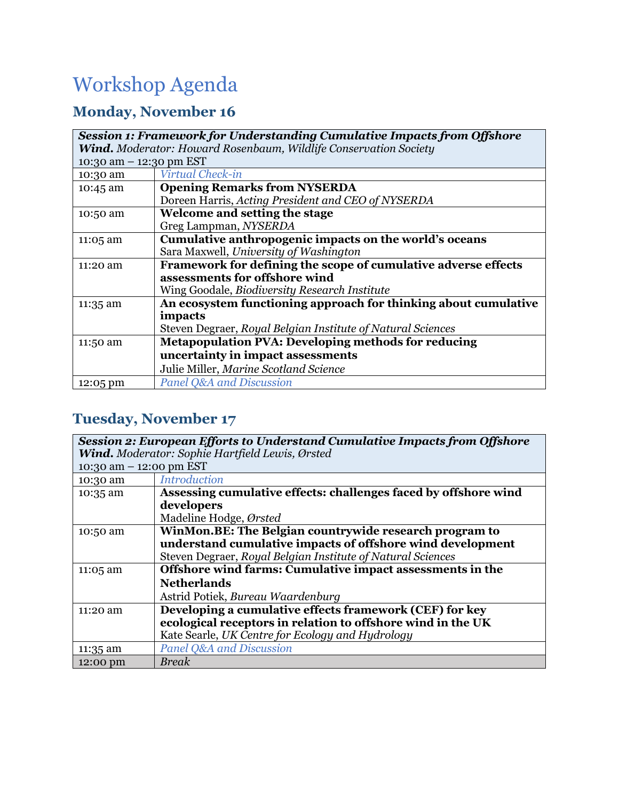## Workshop Agenda

#### **Monday, November 16**

| <b>Session 1: Framework for Understanding Cumulative Impacts from Offshore</b><br>Wind. Moderator: Howard Rosenbaum, Wildlife Conservation Society |                                                                 |  |
|----------------------------------------------------------------------------------------------------------------------------------------------------|-----------------------------------------------------------------|--|
| 10:30 am - 12:30 pm EST                                                                                                                            |                                                                 |  |
| 10:30 am                                                                                                                                           | Virtual Check-in                                                |  |
| 10:45 am                                                                                                                                           | <b>Opening Remarks from NYSERDA</b>                             |  |
|                                                                                                                                                    | Doreen Harris, Acting President and CEO of NYSERDA              |  |
| 10:50 am                                                                                                                                           | Welcome and setting the stage                                   |  |
|                                                                                                                                                    | Greg Lampman, NYSERDA                                           |  |
| 11:05 am                                                                                                                                           | Cumulative anthropogenic impacts on the world's oceans          |  |
|                                                                                                                                                    | Sara Maxwell, University of Washington                          |  |
| 11:20 am                                                                                                                                           | Framework for defining the scope of cumulative adverse effects  |  |
|                                                                                                                                                    | assessments for offshore wind                                   |  |
|                                                                                                                                                    | Wing Goodale, Biodiversity Research Institute                   |  |
| 11:35 am                                                                                                                                           | An ecosystem functioning approach for thinking about cumulative |  |
|                                                                                                                                                    | impacts                                                         |  |
|                                                                                                                                                    | Steven Degraer, Royal Belgian Institute of Natural Sciences     |  |
| 11:50 am                                                                                                                                           | <b>Metapopulation PVA: Developing methods for reducing</b>      |  |
|                                                                                                                                                    | uncertainty in impact assessments                               |  |
|                                                                                                                                                    | Julie Miller, Marine Scotland Science                           |  |
| $12:05 \text{ pm}$                                                                                                                                 | Panel Q&A and Discussion                                        |  |

#### **Tuesday, November 17**

| <b>Session 2: European Efforts to Understand Cumulative Impacts from Offshore</b> |                                                                 |  |
|-----------------------------------------------------------------------------------|-----------------------------------------------------------------|--|
| Wind. Moderator: Sophie Hartfield Lewis, Ørsted                                   |                                                                 |  |
| 10:30 am - 12:00 pm EST                                                           |                                                                 |  |
| 10:30 am                                                                          | <b>Introduction</b>                                             |  |
| 10:35 am                                                                          | Assessing cumulative effects: challenges faced by offshore wind |  |
|                                                                                   | developers                                                      |  |
|                                                                                   | Madeline Hodge, Ørsted                                          |  |
| 10:50 am                                                                          | WinMon.BE: The Belgian countrywide research program to          |  |
|                                                                                   | understand cumulative impacts of offshore wind development      |  |
|                                                                                   | Steven Degraer, Royal Belgian Institute of Natural Sciences     |  |
| 11:05 am                                                                          | Offshore wind farms: Cumulative impact assessments in the       |  |
|                                                                                   | <b>Netherlands</b>                                              |  |
|                                                                                   | Astrid Potiek, Bureau Waardenburg                               |  |
| 11:20 am                                                                          | Developing a cumulative effects framework (CEF) for key         |  |
|                                                                                   | ecological receptors in relation to offshore wind in the UK     |  |
|                                                                                   | Kate Searle, UK Centre for Ecology and Hydrology                |  |
| 11:35 am                                                                          | Panel Q&A and Discussion                                        |  |
| 12:00 pm                                                                          | <b>Break</b>                                                    |  |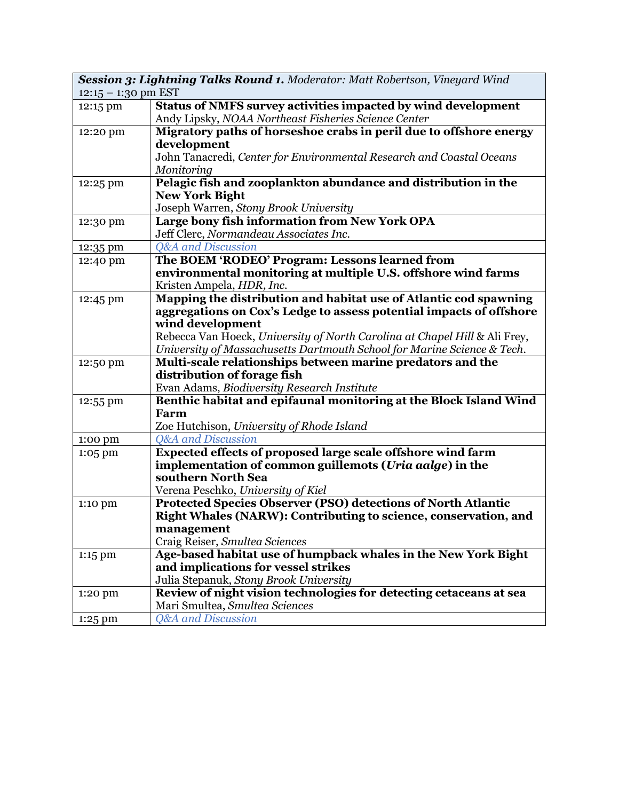| Session 3: Lightning Talks Round 1. Moderator: Matt Robertson, Vineyard Wind<br>$12:15 - 1:30$ pm EST |                                                                                                                                       |  |
|-------------------------------------------------------------------------------------------------------|---------------------------------------------------------------------------------------------------------------------------------------|--|
| 12:15 pm                                                                                              | Status of NMFS survey activities impacted by wind development                                                                         |  |
|                                                                                                       | Andy Lipsky, NOAA Northeast Fisheries Science Center                                                                                  |  |
| 12:20 pm                                                                                              | Migratory paths of horseshoe crabs in peril due to offshore energy                                                                    |  |
|                                                                                                       | development                                                                                                                           |  |
|                                                                                                       | John Tanacredi, Center for Environmental Research and Coastal Oceans                                                                  |  |
|                                                                                                       | Monitoring                                                                                                                            |  |
| 12:25 pm                                                                                              | Pelagic fish and zooplankton abundance and distribution in the                                                                        |  |
|                                                                                                       | <b>New York Bight</b>                                                                                                                 |  |
|                                                                                                       | Joseph Warren, Stony Brook University                                                                                                 |  |
| 12:30 pm                                                                                              | Large bony fish information from New York OPA                                                                                         |  |
|                                                                                                       | Jeff Clerc, Normandeau Associates Inc.                                                                                                |  |
| 12:35 pm                                                                                              | <b>Q&amp;A</b> and Discussion                                                                                                         |  |
| 12:40 pm                                                                                              | The BOEM 'RODEO' Program: Lessons learned from                                                                                        |  |
|                                                                                                       | environmental monitoring at multiple U.S. offshore wind farms                                                                         |  |
|                                                                                                       | Kristen Ampela, HDR, Inc.                                                                                                             |  |
| 12:45 pm                                                                                              | Mapping the distribution and habitat use of Atlantic cod spawning                                                                     |  |
|                                                                                                       | aggregations on Cox's Ledge to assess potential impacts of offshore                                                                   |  |
|                                                                                                       | wind development                                                                                                                      |  |
|                                                                                                       | Rebecca Van Hoeck, University of North Carolina at Chapel Hill & Ali Frey,                                                            |  |
|                                                                                                       | University of Massachusetts Dartmouth School for Marine Science & Tech.<br>Multi-scale relationships between marine predators and the |  |
| 12:50 pm                                                                                              | distribution of forage fish                                                                                                           |  |
|                                                                                                       | Evan Adams, Biodiversity Research Institute                                                                                           |  |
| 12:55 pm                                                                                              | Benthic habitat and epifaunal monitoring at the Block Island Wind                                                                     |  |
|                                                                                                       | Farm                                                                                                                                  |  |
|                                                                                                       | Zoe Hutchison, University of Rhode Island                                                                                             |  |
| 1:00 pm                                                                                               | <b>Q&amp;A</b> and Discussion                                                                                                         |  |
| 1:05 pm                                                                                               | Expected effects of proposed large scale offshore wind farm                                                                           |  |
|                                                                                                       | implementation of common guillemots (Uria aalge) in the                                                                               |  |
|                                                                                                       | southern North Sea                                                                                                                    |  |
|                                                                                                       | Verena Peschko, University of Kiel                                                                                                    |  |
| 1:10 pm                                                                                               | Protected Species Observer (PSO) detections of North Atlantic                                                                         |  |
|                                                                                                       | Right Whales (NARW): Contributing to science, conservation, and                                                                       |  |
|                                                                                                       | management                                                                                                                            |  |
|                                                                                                       | Craig Reiser, Smultea Sciences                                                                                                        |  |
| 1:15 pm                                                                                               | Age-based habitat use of humpback whales in the New York Bight                                                                        |  |
|                                                                                                       | and implications for vessel strikes                                                                                                   |  |
|                                                                                                       | Julia Stepanuk, Stony Brook University                                                                                                |  |
| 1:20 pm                                                                                               | Review of night vision technologies for detecting cetaceans at sea                                                                    |  |
|                                                                                                       | Mari Smultea, Smultea Sciences                                                                                                        |  |
| 1:25 pm                                                                                               | <b>Q&amp;A</b> and Discussion                                                                                                         |  |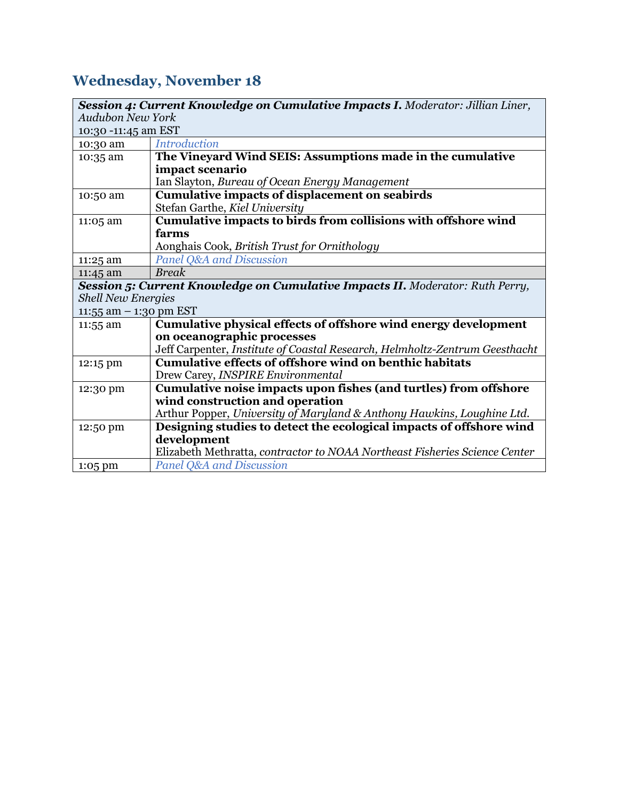## **Wednesday, November 18**

| <b>Session 4: Current Knowledge on Cumulative Impacts I.</b> Moderator: Jillian Liner, |                                                                               |  |
|----------------------------------------------------------------------------------------|-------------------------------------------------------------------------------|--|
| <b>Audubon New York</b>                                                                |                                                                               |  |
| 10:30 -11:45 am EST                                                                    |                                                                               |  |
| 10:30 am                                                                               | <b>Introduction</b>                                                           |  |
| 10:35 am                                                                               | The Vineyard Wind SEIS: Assumptions made in the cumulative                    |  |
|                                                                                        | impact scenario                                                               |  |
|                                                                                        | Ian Slayton, Bureau of Ocean Energy Management                                |  |
| 10:50 am                                                                               | <b>Cumulative impacts of displacement on seabirds</b>                         |  |
|                                                                                        | Stefan Garthe, Kiel University                                                |  |
| 11:05 am                                                                               | Cumulative impacts to birds from collisions with offshore wind                |  |
|                                                                                        | farms                                                                         |  |
|                                                                                        | Aonghais Cook, British Trust for Ornithology                                  |  |
| 11:25 am                                                                               | Panel Q&A and Discussion                                                      |  |
| 11:45 am                                                                               | <b>Break</b>                                                                  |  |
|                                                                                        | Session 5: Current Knowledge on Cumulative Impacts II. Moderator: Ruth Perry, |  |
| <b>Shell New Energies</b>                                                              |                                                                               |  |
| 11:55 am $-$ 1:30 pm EST                                                               |                                                                               |  |
| 11:55 am                                                                               | Cumulative physical effects of offshore wind energy development               |  |
|                                                                                        | on oceanographic processes                                                    |  |
|                                                                                        | Jeff Carpenter, Institute of Coastal Research, Helmholtz-Zentrum Geesthacht   |  |
| 12:15 pm                                                                               | <b>Cumulative effects of offshore wind on benthic habitats</b>                |  |
|                                                                                        | Drew Carey, INSPIRE Environmental                                             |  |
| 12:30 pm                                                                               | Cumulative noise impacts upon fishes (and turtles) from offshore              |  |
|                                                                                        | wind construction and operation                                               |  |
|                                                                                        | Arthur Popper, University of Maryland & Anthony Hawkins, Loughine Ltd.        |  |
| 12:50 pm                                                                               | Designing studies to detect the ecological impacts of offshore wind           |  |
|                                                                                        | development                                                                   |  |
|                                                                                        | Elizabeth Methratta, contractor to NOAA Northeast Fisheries Science Center    |  |
| 1:05 pm                                                                                | <b>Panel Q&amp;A and Discussion</b>                                           |  |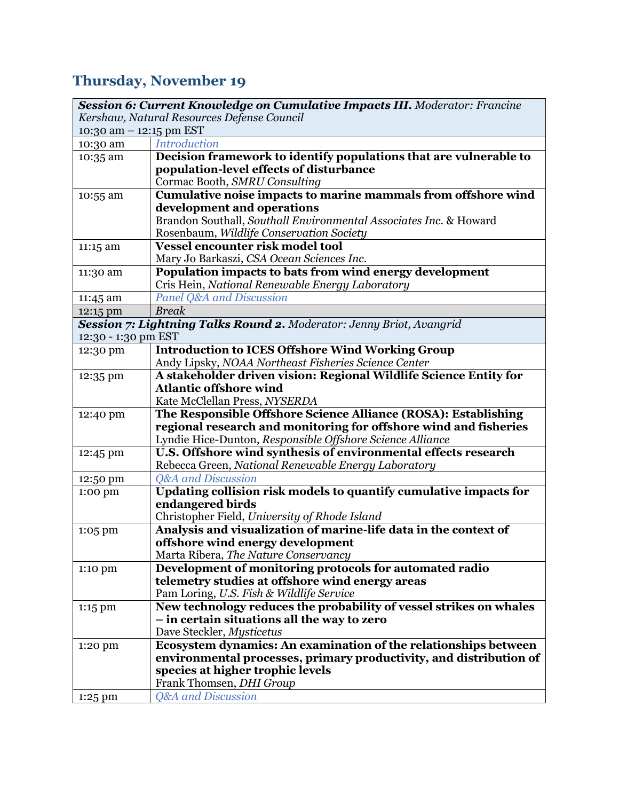## **Thursday, November 19**

|                                            | Session 6: Current Knowledge on Cumulative Impacts III. Moderator: Francine |  |
|--------------------------------------------|-----------------------------------------------------------------------------|--|
| Kershaw, Natural Resources Defense Council |                                                                             |  |
| 10:30 am - 12:15 pm EST                    |                                                                             |  |
| 10:30 am                                   | <b>Introduction</b>                                                         |  |
| 10:35 am                                   | Decision framework to identify populations that are vulnerable to           |  |
|                                            | population-level effects of disturbance                                     |  |
|                                            | Cormac Booth, SMRU Consulting                                               |  |
| 10:55 am                                   | Cumulative noise impacts to marine mammals from offshore wind               |  |
|                                            | development and operations                                                  |  |
|                                            | Brandon Southall, Southall Environmental Associates Inc. & Howard           |  |
|                                            | Rosenbaum, Wildlife Conservation Society                                    |  |
| 11:15 am                                   | <b>Vessel encounter risk model tool</b>                                     |  |
|                                            | Mary Jo Barkaszi, CSA Ocean Sciences Inc.                                   |  |
| 11:30 am                                   | Population impacts to bats from wind energy development                     |  |
|                                            | Cris Hein, National Renewable Energy Laboratory                             |  |
| 11:45 am                                   | <b>Panel Q&amp;A and Discussion</b>                                         |  |
| 12:15 pm                                   | <b>Break</b>                                                                |  |
|                                            | Session 7: Lightning Talks Round 2. Moderator: Jenny Briot, Avangrid        |  |
| 12:30 - 1:30 pm EST                        |                                                                             |  |
| 12:30 pm                                   | <b>Introduction to ICES Offshore Wind Working Group</b>                     |  |
|                                            | Andy Lipsky, NOAA Northeast Fisheries Science Center                        |  |
| 12:35 pm                                   | A stakeholder driven vision: Regional Wildlife Science Entity for           |  |
|                                            | <b>Atlantic offshore wind</b>                                               |  |
|                                            | Kate McClellan Press, NYSERDA                                               |  |
| 12:40 pm                                   | The Responsible Offshore Science Alliance (ROSA): Establishing              |  |
|                                            | regional research and monitoring for offshore wind and fisheries            |  |
|                                            | Lyndie Hice-Dunton, Responsible Offshore Science Alliance                   |  |
| 12:45 pm                                   | U.S. Offshore wind synthesis of environmental effects research              |  |
|                                            | Rebecca Green, National Renewable Energy Laboratory                         |  |
| 12:50 pm                                   | <b>Q&amp;A</b> and Discussion                                               |  |
| 1:00 pm                                    | Updating collision risk models to quantify cumulative impacts for           |  |
|                                            | endangered birds                                                            |  |
|                                            | Christopher Field, University of Rhode Island                               |  |
| 1:05 pm                                    | Analysis and visualization of marine-life data in the context of            |  |
|                                            | offshore wind energy development                                            |  |
|                                            | Marta Ribera, <i>The Nature Conservancy</i>                                 |  |
| 1:10 pm                                    | Development of monitoring protocols for automated radio                     |  |
|                                            | telemetry studies at offshore wind energy areas                             |  |
|                                            | Pam Loring, U.S. Fish & Wildlife Service                                    |  |
| 1:15 pm                                    | New technology reduces the probability of vessel strikes on whales          |  |
|                                            | - in certain situations all the way to zero                                 |  |
|                                            | Dave Steckler, Mysticetus                                                   |  |
| 1:20 pm                                    | Ecosystem dynamics: An examination of the relationships between             |  |
|                                            | environmental processes, primary productivity, and distribution of          |  |
|                                            | species at higher trophic levels                                            |  |
|                                            | Frank Thomsen, DHI Group                                                    |  |
| 1:25 pm                                    | <b>Q&amp;A</b> and Discussion                                               |  |